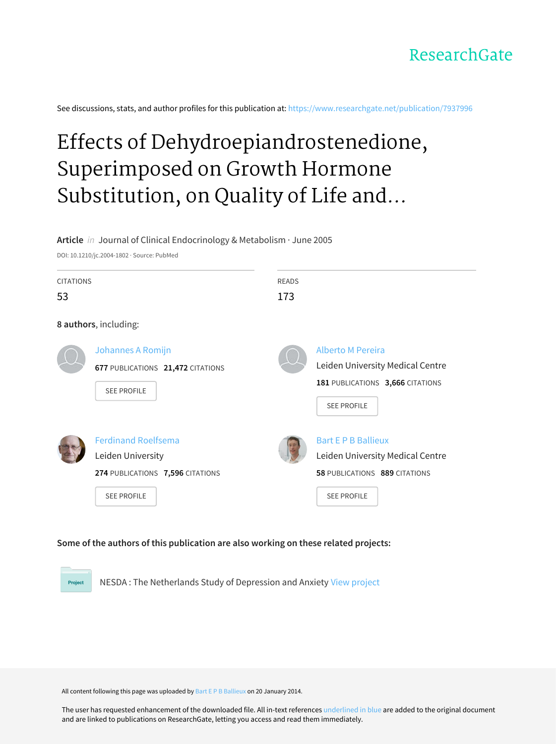

See discussions, stats, and author profiles for this publication at: [https://www.researchgate.net/publication/7937996](https://www.researchgate.net/publication/7937996_Effects_of_Dehydroepiandrostenedione_Superimposed_on_Growth_Hormone_Substitution_on_Quality_of_Life_and_Insulin-Like_Growth_Factor_I_in_Patients_with_Secondary_Adrenal_Insufficiency_A_Randomized_Place?enrichId=rgreq-a4c0e730a33e0a7d2deefe6a678e62e4-XXX&enrichSource=Y292ZXJQYWdlOzc5Mzc5OTY7QVM6OTg1NTE4NjIzOTg5ODRAMTQwMDUwODAwMzQ0OA%3D%3D&el=1_x_2&_esc=publicationCoverPdf)

# Effects of Dehydroepiandrostenedione, Superimposed on Growth Hormone Substitution, on Quality of Life and...

# **Article** in Journal of Clinical Endocrinology & Metabolism · June 2005

DOI: 10.1210/jc.2004-1802 · Source: PubMed

| <b>CITATIONS</b><br>53 |                                                                                                           | <b>READS</b><br>173 |                                                                                                                        |  |  |
|------------------------|-----------------------------------------------------------------------------------------------------------|---------------------|------------------------------------------------------------------------------------------------------------------------|--|--|
|                        | 8 authors, including:                                                                                     |                     |                                                                                                                        |  |  |
|                        | Johannes A Romijn<br>677 PUBLICATIONS 21,472 CITATIONS<br><b>SEE PROFILE</b>                              |                     | <b>Alberto M Pereira</b><br>Leiden University Medical Centre<br>181 PUBLICATIONS 3,666 CITATIONS<br><b>SEE PROFILE</b> |  |  |
|                        | <b>Ferdinand Roelfsema</b><br>Leiden University<br>274 PUBLICATIONS 7,596 CITATIONS<br><b>SEE PROFILE</b> |                     | <b>Bart E P B Ballieux</b><br>Leiden University Medical Centre<br>58 PUBLICATIONS 889 CITATIONS<br><b>SEE PROFILE</b>  |  |  |

# **Some of the authors of this publication are also working on these related projects:**

NESDA : The Netherlands Study of Depression and Anxiety View [project](https://www.researchgate.net/project/NESDA-The-Netherlands-Study-of-Depression-and-Anxiety?enrichId=rgreq-a4c0e730a33e0a7d2deefe6a678e62e4-XXX&enrichSource=Y292ZXJQYWdlOzc5Mzc5OTY7QVM6OTg1NTE4NjIzOTg5ODRAMTQwMDUwODAwMzQ0OA%3D%3D&el=1_x_9&_esc=publicationCoverPdf) Project

All content following this page was uploaded by Bart E P B [Ballieux](https://www.researchgate.net/profile/Bart_Ballieux?enrichId=rgreq-a4c0e730a33e0a7d2deefe6a678e62e4-XXX&enrichSource=Y292ZXJQYWdlOzc5Mzc5OTY7QVM6OTg1NTE4NjIzOTg5ODRAMTQwMDUwODAwMzQ0OA%3D%3D&el=1_x_10&_esc=publicationCoverPdf) on 20 January 2014.

The user has requested enhancement of the downloaded file. All in-text references underlined in blue are added to the original document and are linked to publications on ResearchGate, letting you access and read them immediately.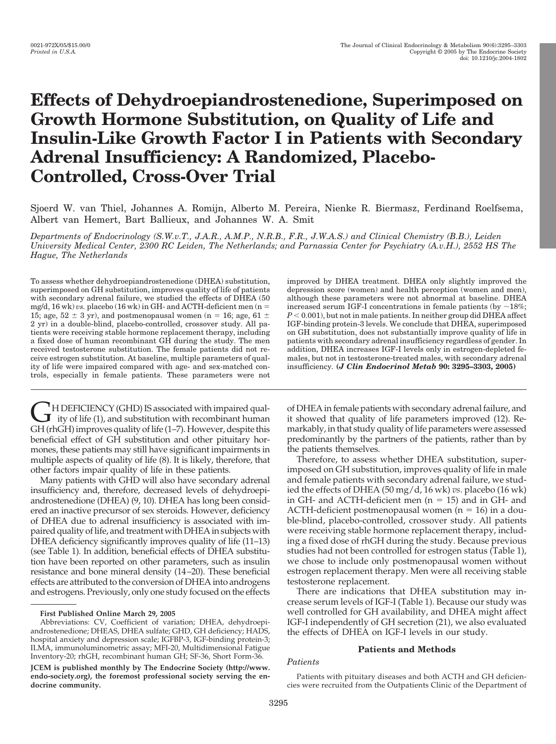# **Effects of Dehydroepiandrostenedione, Superimposed on Growth Hormone Substitution, on Quality of Life and Insulin-Like Growth Factor I in Patients with Secondary Adrenal Insufficiency: A Randomized, Placebo-Controlled, Cross-Over Trial**

Sjoerd W. van Thiel, Johannes A. Romijn, Alberto M. Pereira, Nienke R. Biermasz, Ferdinand Roelfsema, Albert van Hemert, Bart Ballieux, and Johannes W. A. Smit

*Departments of Endocrinology (S.W.v.T., J.A.R., A.M.P., N.R.B., F.R., J.W.A.S.) and Clinical Chemistry (B.B.), Leiden University Medical Center, 2300 RC Leiden, The Netherlands; and Parnassia Center for Psychiatry (A.v.H.), 2552 HS The Hague, The Netherlands*

To assess whether dehydroepiandrostenedione (DHEA) substitution, superimposed on GH substitution, improves quality of life of patients with secondary adrenal failure, we studied the effects of DHEA (50 mg/d,  $16$  wk) *vs.* placebo ( $16$  wk) in GH- and ACTH-deficient men ( $n =$ 15; age,  $52 \pm 3$  yr), and postmenopausal women (n = 16; age, 61  $\pm$ 2 yr) in a double-blind, placebo-controlled, crossover study. All patients were receiving stable hormone replacement therapy, including a fixed dose of human recombinant GH during the study. The men received testosterone substitution. The female patients did not receive estrogen substitution. At baseline, multiple parameters of quality of life were impaired compared with age- and sex-matched controls, especially in female patients. These parameters were not

 $\bigcup_{i=1}^{\infty}$ H DEFICIENCY (GHD) IS associated with impaired quality of life (1), and substitution with recombinant human  $CH(\text{ch}CH)$  improves quality of life (1–7). However, despite this GH (rhGH) improves quality of life (1–7). However, despite this beneficial effect of GH substitution and other pituitary hormones, these patients may still have significant impairments in multiple aspects of quality of life (8). It is likely, therefore, that other factors impair quality of life in these patients.

Many patients with GHD will also have secondary adrenal insufficiency and, therefore, decreased levels of dehydroepiandrostenedione (DHEA) (9, 10). DHEA has long been considered an inactive precursor of sex steroids. However, deficiency of DHEA due to adrenal insufficiency is associated with impaired quality of life, and treatment with DHEA in subjects with DHEA deficiency significantly improves quality of life (11–13) (see Table 1). In addition, beneficial effects of DHEA substitution have been reported on other parameters, such as insulin resistance and bone mineral density (14 –20). These beneficial effects are attributed to the conversion of DHEA into androgens and estrogens. Previously, only one study focused on the effects

**First Published Online March 29, 2005**

improved by DHEA treatment. DHEA only slightly improved the depression score (women) and health perception (women and men), although these parameters were not abnormal at baseline. DHEA increased serum IGF-I concentrations in female patients (by  $\sim$  18%;  $P < 0.001$ ), but not in male patients. In neither group did DHEA affect IGF-binding protein-3 levels. We conclude that DHEA, superimposed on GH substitution, does not substantially improve quality of life in patients with secondary adrenal insufficiency regardless of gender. In addition, DHEA increases IGF-I levels only in estrogen-depleted females, but not in testosterone-treated males, with secondary adrenal insufficiency. **(***J Clin Endocrinol Metab* **90: 3295–3303, 2005)**

of DHEA in female patients with secondary adrenal failure, and it showed that quality of life parameters improved (12). Remarkably, in that study quality of life parameters were assessed predominantly by the partners of the patients, rather than by the patients themselves.

Therefore, to assess whether DHEA substitution, superimposed on GH substitution, improves quality of life in male and female patients with secondary adrenal failure, we studied the effects of DHEA (50 mg/d, 16 wk) *vs.* placebo (16 wk) in GH- and ACTH-deficient men  $(n = 15)$  and in GH- and ACTH-deficient postmenopausal women  $(n = 16)$  in a double-blind, placebo-controlled, crossover study. All patients were receiving stable hormone replacement therapy, including a fixed dose of rhGH during the study. Because previous studies had not been controlled for estrogen status (Table 1), we chose to include only postmenopausal women without estrogen replacement therapy. Men were all receiving stable testosterone replacement.

There are indications that DHEA substitution may increase serum levels of IGF-I (Table 1). Because our study was well controlled for GH availability, and DHEA might affect IGF-I independently of GH secretion (21), we also evaluated the effects of DHEA on IGF-I levels in our study.

#### **Patients and Methods**

*Patients*

Patients with pituitary diseases and both ACTH and GH deficiencies were recruited from the Outpatients Clinic of the Department of

Abbreviations: CV, Coefficient of variation; DHEA, dehydroepiandrostenedione; DHEAS, DHEA sulfate; GHD, GH deficiency; HADS, hospital anxiety and depression scale; IGFBP-3, IGF-binding protein-3; ILMA, immunoluminometric assay; MFI-20, Multidimensional Fatigue Inventory-20; rhGH, recombinant human GH; SF-36, Short Form-36.

**JCEM is published monthly by The Endocrine Society (http://www. endo-society.org), the foremost professional society serving the endocrine community.**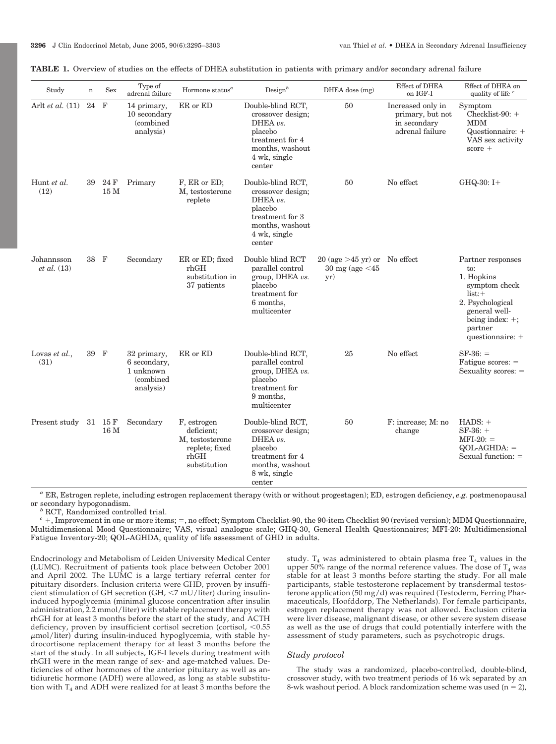| <b>TABLE 1.</b> Overview of studies on the effects of DHEA substitution in patients with primary and/or secondary adrenal failure |  |  |  |
|-----------------------------------------------------------------------------------------------------------------------------------|--|--|--|
|-----------------------------------------------------------------------------------------------------------------------------------|--|--|--|

| Study                     | $\mathbf n$ | <b>Sex</b>                 | Type of<br>adrenal failure                                         | Hormone status $a$                                                                           | Design <sup>b</sup>                                                                                                           | DHEA dose (mg)                                                                                 | Effect of DHEA<br>on IGF-I                                               | Effect of DHEA on<br>quality of life <sup>c</sup>                                                                                                              |
|---------------------------|-------------|----------------------------|--------------------------------------------------------------------|----------------------------------------------------------------------------------------------|-------------------------------------------------------------------------------------------------------------------------------|------------------------------------------------------------------------------------------------|--------------------------------------------------------------------------|----------------------------------------------------------------------------------------------------------------------------------------------------------------|
| Arlt <i>et al.</i> (11)   | $24\,$      | $\mathbf{F}$               | 14 primary,<br>10 secondary<br>(combined)<br>analysis)             | ER or ED                                                                                     | Double-blind RCT,<br>crossover design;<br>DHEA vs.<br>placebo<br>treatment for 4<br>months, washout<br>4 wk, single<br>center | 50                                                                                             | Increased only in<br>primary, but not<br>in secondary<br>adrenal failure | Symptom<br>Checklist-90: $+$<br><b>MDM</b><br>Questionnaire: +<br>VAS sex activity<br>$score +$                                                                |
| Hunt et al.<br>(12)       | 39          | 24 F<br>15 M               | Primary                                                            | F, ER or ED;<br>M, testosterone<br>replete                                                   | Double-blind RCT,<br>crossover design;<br>DHEA vs.<br>placebo<br>treatment for 3<br>months, washout<br>4 wk, single<br>center | 50                                                                                             | No effect                                                                | GHQ-30: $I+$                                                                                                                                                   |
| Johannsson<br>et al. (13) | 38          | F                          | Secondary                                                          | ER or ED; fixed<br>$rh$ GH<br>substitution in<br>37 patients                                 | Double blind RCT<br>parallel control<br>group, DHEA vs.<br>placebo<br>treatment for<br>6 months,<br>multicenter               | $20 \text{ (age} > 45 \text{ yr}) \text{ or }$ No effect<br>30 mg (age $\leq 45$<br>$\rm{yr})$ |                                                                          | Partner responses<br>to:<br>1. Hopkins<br>symptom check<br>$list: +$<br>2. Psychological<br>general well-<br>being index: $+$ ;<br>partner<br>questionnaire: + |
| Lovas et $al.$ ,<br>(31)  | 39          | F                          | 32 primary,<br>6 secondary,<br>1 unknown<br>(combined<br>analysis) | ER or ED                                                                                     | Double-blind RCT,<br>parallel control<br>group, DHEA vs.<br>placebo<br>treatment for<br>9 months,<br>multicenter              | 25                                                                                             | No effect                                                                | $SF-36: =$<br>Fatigue scores: $=$<br>$S$ exuality scores: $=$                                                                                                  |
| Present study             |             | 31 15 F<br>16 <sub>M</sub> | Secondary                                                          | F, estrogen<br>deficient;<br>M, testosterone<br>replete; fixed<br>$r$ h $GH$<br>substitution | Double-blind RCT,<br>crossover design;<br>DHEA vs.<br>placebo<br>treatment for 4<br>months, washout<br>8 wk, single<br>center | 50                                                                                             | F: increase; M: no<br>change                                             | $HADS: +$<br>$SF-36: +$<br>$MFI-20: =$<br>$QOL-AGHDA: =$<br>Sexual function: $=$                                                                               |

*<sup>a</sup>* ER, Estrogen replete, including estrogen replacement therapy (with or without progestagen); ED, estrogen deficiency, *e.g.* postmenopausal

<sup>*b*</sup> RCT, Randomized controlled trial.

+, Improvement in one or more items; =, no effect; Symptom Checklist-90, the 90-item Checklist 90 (revised version); MDM Questionnaire, Multidimensional Mood Questionnaire; VAS, visual analogue scale; GHQ-30, General Health Questionnaires; MFI-20: Multidimensional Fatigue Inventory-20; QOL-AGHDA, quality of life assessment of GHD in adults.

Endocrinology and Metabolism of Leiden University Medical Center (LUMC). Recruitment of patients took place between October 2001 and April 2002. The LUMC is a large tertiary referral center for pituitary disorders. Inclusion criteria were GHD, proven by insufficient stimulation of GH secretion (GH,  $\le$ 7 mU/liter) during insulininduced hypoglycemia (minimal glucose concentration after insulin administration, 2.2 mmol/liter) with stable replacement therapy with rhGH for at least 3 months before the start of the study, and ACTH deficiency, proven by insufficient cortisol secretion (cortisol,  $\leq 0.55$ mol/liter) during insulin-induced hypoglycemia, with stable hydrocortisone replacement therapy for at least 3 months before the start of the study. In all subjects, IGF-I levels during treatment with rhGH were in the mean range of sex- and age-matched values. Deficiencies of other hormones of the anterior pituitary as well as antidiuretic hormone (ADH) were allowed, as long as stable substitution with  $T_4$  and ADH were realized for at least 3 months before the study.  $T_4$  was administered to obtain plasma free  $T_4$  values in the upper 50% range of the normal reference values. The dose of  $T_4$  was stable for at least 3 months before starting the study. For all male participants, stable testosterone replacement by transdermal testosterone application (50 mg/d) was required (Testoderm, Ferring Pharmaceuticals, Hoofddorp, The Netherlands). For female participants, estrogen replacement therapy was not allowed. Exclusion criteria were liver disease, malignant disease, or other severe system disease as well as the use of drugs that could potentially interfere with the assessment of study parameters, such as psychotropic drugs.

# *Study protocol*

The study was a randomized, placebo-controlled, double-blind, crossover study, with two treatment periods of 16 wk separated by an 8-wk washout period. A block randomization scheme was used ( $n = 2$ ),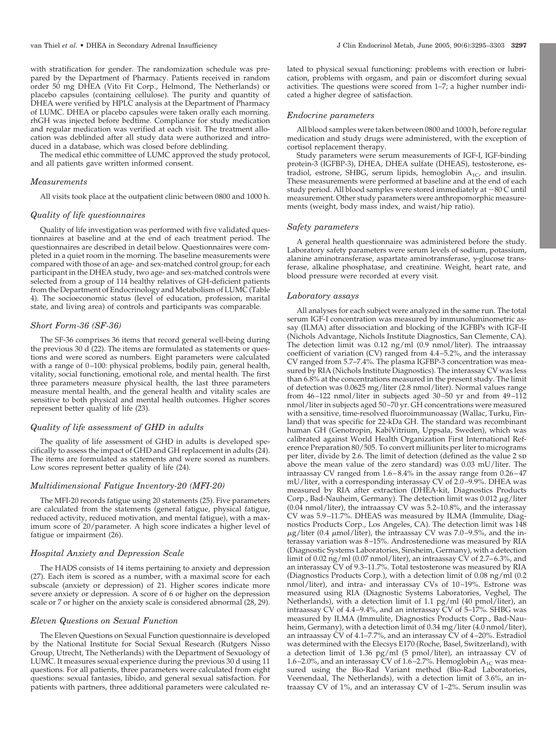with stratification for gender. The randomization schedule was prepared by the Department of Pharmacy. Patients received in random order 50 mg DHEA (Vito Fit Corp., Helmond, The Netherlands) or placebo capsules (containing cellulose). The purity and quantity of DHEA were verified by HPLC analysis at the Department of Pharmacy of LUMC. DHEA or placebo capsules were taken orally each morning. rhGH was injected before bedtime. Compliance for study medication and regular medication was verified at each visit. The treatment allocation was deblinded after all study data were authorized and introduced in a database, which was closed before deblinding.

The medical ethic committee of LUMC approved the study protocol, and all patients gave written informed consent.

#### *Measurements*

All visits took place at the outpatient clinic between 0800 and 1000 h.

#### *Quality of life questionnaires*

Quality of life investigation was performed with five validated questionnaires at baseline and at the end of each treatment period. The questionnaires are described in detail below. Questionnaires were completed in a quiet room in the morning. The baseline measurements were compared with those of an age- and sex-matched control group; for each participant in the DHEA study, two age- and sex-matched controls were selected from a group of 114 healthy relatives of GH-deficient patients from the Department of Endocrinology and Metabolism of LUMC (Table 4). The socioeconomic status (level of education, profession, marital state, and living area) of controls and participants was comparable.

# *Short Form-36 (SF-36)*

The SF-36 comprises 36 items that record general well-being during the previous 30 d (22). The items are formulated as statements or questions and were scored as numbers. Eight parameters were calculated with a range of 0-100: physical problems, bodily pain, general health, vitality, social functioning, emotional role, and mental health. The first three parameters measure physical health, the last three parameters measure mental health, and the general health and vitality scales are sensitive to both physical and mental health outcomes. Higher scores represent better quality of life (23).

#### *Quality of life assessment of GHD in adults*

The quality of life assessment of GHD in adults is developed specifically to assess the impact of GHD and GH replacement in adults (24). The items are formulated as statements and were scored as numbers. Low scores represent better quality of life (24).

#### *Multidimensional Fatigue Inventory-20 (MFI-20)*

The MFI-20 records fatigue using 20 statements (25). Five parameters are calculated from the statements (general fatigue, physical fatigue, reduced activity, reduced motivation, and mental fatigue), with a maximum score of 20/parameter. A high score indicates a higher level of fatigue or impairment (26).

# *Hospital Anxiety and Depression Scale*

The HADS consists of 14 items pertaining to anxiety and depression (27). Each item is scored as a number, with a maximal score for each subscale (anxiety or depression) of 21. Higher scores indicate more severe anxiety or depression. A score of 6 or higher on the depression scale or 7 or higher on the anxiety scale is considered abnormal (28, 29).

# *Eleven Questions on Sexual Function*

The Eleven Questions on Sexual Function questionnaire is developed by the National Institute for Social Sexual Research (Rutgers Nisso Group, Utrecht, The Netherlands) with the Department of Sexuology of LUMC. It measures sexual experience during the previous 30 d using 11 questions. For all patients, three parameters were calculated from eight questions: sexual fantasies, libido, and general sexual satisfaction. For patients with partners, three additional parameters were calculated related to physical sexual functioning: problems with erection or lubrication, problems with orgasm, and pain or discomfort during sexual activities. The questions were scored from 1–7; a higher number indicated a higher degree of satisfaction.

#### *Endocrine parameters*

All blood samples were taken between 0800 and 1000 h, before regular medication and study drugs were administered, with the exception of cortisol replacement therapy.

Study parameters were serum measurements of IGF-I, IGF-binding protein-3 (IGFBP-3), DHEA, DHEA sulfate (DHEAS), testosterone, estradiol, estrone, SHBG, serum lipids, hemoglobin  $A_{1C}$ , and insulin. These measurements were performed at baseline and at the end of each study period. All blood samples were stored immediately at  $-80$  C until measurement. Other study parameters were anthropomorphic measurements (weight, body mass index, and waist/hip ratio).

#### *Safety parameters*

A general health questionnaire was administered before the study. Laboratory safety parameters were serum levels of sodium, potassium, alanine aminotransferase, aspartate aminotransferase,  $\gamma$ -glucose transferase, alkaline phosphatase, and creatinine. Weight, heart rate, and blood pressure were recorded at every visit.

#### *Laboratory assays*

All analyses for each subject were analyzed in the same run. The total serum IGF-I concentration was measured by immunoluminometric assay (ILMA) after dissociation and blocking of the IGFBPs with IGF-II (Nichols Advantage, Nichols Institute Diagnostics, San Clemente, CA). The detection limit was 0.12 ng/ml (0.9 nmol/liter). The intraassay coefficient of variation (CV) ranged from 4.4 –5.2%, and the interassay CV ranged from 5.7–7.4%. The plasma IGFBP-3 concentration was measured by RIA (Nichols Institute Diagnostics). The interassay CV was less than 6.8% at the concentrations measured in the present study. The limit of detection was 0.0625 mg/liter (2.8 nmol/liter). Normal values range from 46 –122 nmol/liter in subjects aged 30 –50 yr and from 49 –112 nmol/liter in subjects aged 50-70 yr. GH concentrations were measured with a sensitive, time-resolved fluoroimmunoassay (Wallac, Turku, Finland) that was specific for 22-kDa GH. The standard was recombinant human GH (Genotropin, KabiVitrium, Uppsala, Sweden), which was calibrated against World Health Organization First International Reference Preparation 80/505. To convert milliunits per liter to micrograms per liter, divide by 2.6. The limit of detection (defined as the value 2 sp above the mean value of the zero standard) was 0.03 mU/liter. The intraassay CV ranged from 1.6-8.4% in the assay range from 0.26-47 mU/liter, with a corresponding interassay CV of 2.0 –9.9%. DHEA was measured by RIA after extraction (DHEA-kit, Diagnostics Products Corp., Bad-Nauheim, Germany). The detection limit was  $0.012 \mu g/l$ (0.04 nmol/liter), the intraassay CV was 5.2–10.8%, and the interassay CV was 5.9 –11.7%. DHEAS was measured by ILMA (Immulite, Diagnostics Products Corp., Los Angeles, CA). The detection limit was 148  $\mu$ g/liter (0.4  $\mu$ mol/liter), the intraassay CV was 7.0–9.5%, and the interassay variation was 8-15%. Androstenedione was measured by RIA (Diagnostic Systems Laboratories, Sinsheim, Germany), with a detection limit of 0.02 ng/ml (0.07 nmol/liter), an intraassay  $\check{\rm CV}$  of 2.7–6.3%, and an interassay CV of 9.3–11.7%. Total testosterone was measured by RIA (Diagnostics Products Corp.), with a detection limit of 0.08 ng/ml (0.2 nmol/liter), and intra- and interassay CVs of 10 –19%. Estrone was measured using RIA (Diagnostic Systems Laboratories, Veghel, The Netherlands), with a detection limit of 1.1 pg/ml (40 pmol/liter), an intraassay CV of 4.4 –9.4%, and an interassay CV of 5–17%. SHBG was measured by ILMA (Immulite, Diagnostics Products Corp., Bad-Nauheim, Germany), with a detection limit of 0.34 mg/liter (4.0 nmol/liter), an intraassay  $\rm{CV}$  of 4.1–7.7%, and an interassay  $\rm{CV}$  of 4–20%. Estradiol was determined with the Elecsys E170 (Roche, Basel, Switzerland), with a detection limit of 1.36 pg/ml (5 pmol/liter), an intraassay CV of 1.6 –2.0%, and an interassay CV of 1.6 – 2.7%. Hemoglobin  $A_{1C}$  was measured using the Bio-Rad Variant method (Bio-Rad Laboratories, Veenendaal, The Netherlands), with a detection limit of 3.6%, an intraassay CV of 1%, and an interassay CV of 1–2%. Serum insulin was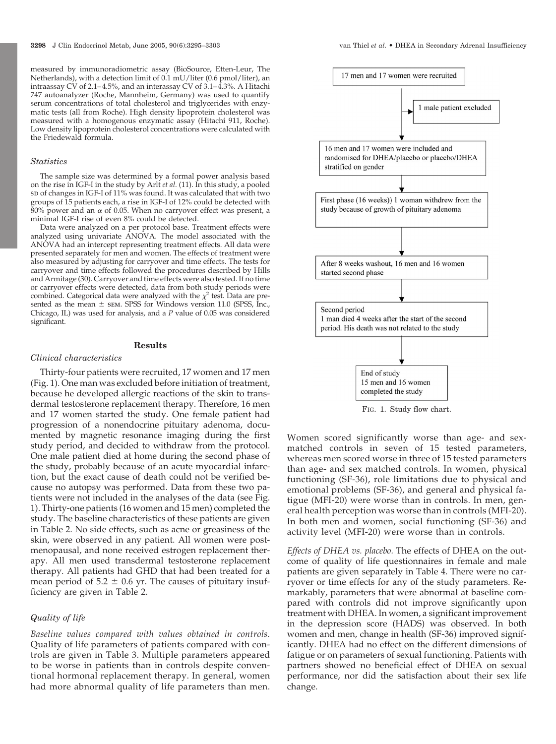measured by immunoradiometric assay (BioSource, Etten-Leur, The Netherlands), with a detection limit of 0.1 mU/liter (0.6 pmol/liter), an intraassay CV of 2.1–4.5%, and an interassay CV of 3.1–4.3%. A Hitachi 747 autoanalyzer (Roche, Mannheim, Germany) was used to quantify serum concentrations of total cholesterol and triglycerides with enzymatic tests (all from Roche). High density lipoprotein cholesterol was measured with a homogenous enzymatic assay (Hitachi 911, Roche). Low density lipoprotein cholesterol concentrations were calculated with the Friedewald formula.

# *Statistics*

The sample size was determined by a formal power analysis based on the rise in IGF-I in the study by Arlt *et al.* (11). In this study, a pooled sp of changes in IGF-I of 11% was found. It was calculated that with two groups of 15 patients each, a rise in IGF-I of 12% could be detected with  $80\%$  power and an  $\alpha$  of 0.05. When no carryover effect was present, a minimal IGF-I rise of even 8% could be detected.

Data were analyzed on a per protocol base. Treatment effects were analyzed using univariate ANOVA. The model associated with the ANOVA had an intercept representing treatment effects. All data were presented separately for men and women. The effects of treatment were also measured by adjusting for carryover and time effects. The tests for carryover and time effects followed the procedures described by Hills and Armitage (30). Carryover and time effects were also tested. If no time or carryover effects were detected, data from both study periods were combined. Categorical data were analyzed with the  $\chi^2$  test. Data are presented as the mean  $\pm$  sem. SPSS for Windows version 11.0 (SPSS, Inc., Chicago, IL) was used for analysis, and a *P* value of 0.05 was considered significant.

# **Results**

#### *Clinical characteristics*

Thirty-four patients were recruited, 17 women and 17 men (Fig. 1). One man was excluded before initiation of treatment, because he developed allergic reactions of the skin to transdermal testosterone replacement therapy. Therefore, 16 men and 17 women started the study. One female patient had progression of a nonendocrine pituitary adenoma, documented by magnetic resonance imaging during the first study period, and decided to withdraw from the protocol. One male patient died at home during the second phase of the study, probably because of an acute myocardial infarction, but the exact cause of death could not be verified because no autopsy was performed. Data from these two patients were not included in the analyses of the data (see Fig. 1). Thirty-one patients (16 women and 15 men) completed the study. The baseline characteristics of these patients are given in Table 2. No side effects, such as acne or greasiness of the skin, were observed in any patient. All women were postmenopausal, and none received estrogen replacement therapy. All men used transdermal testosterone replacement therapy. All patients had GHD that had been treated for a mean period of  $5.2 \pm 0.6$  yr. The causes of pituitary insufficiency are given in Table 2.

# *Quality of life*

*Baseline values compared with values obtained in controls.* Quality of life parameters of patients compared with controls are given in Table 3. Multiple parameters appeared to be worse in patients than in controls despite conventional hormonal replacement therapy. In general, women had more abnormal quality of life parameters than men.



FIG. 1. Study flow chart.

Women scored significantly worse than age- and sexmatched controls in seven of 15 tested parameters, whereas men scored worse in three of 15 tested parameters than age- and sex matched controls. In women, physical functioning (SF-36), role limitations due to physical and emotional problems (SF-36), and general and physical fatigue (MFI-20) were worse than in controls. In men, general health perception was worse than in controls (MFI-20). In both men and women, social functioning (SF-36) and activity level (MFI-20) were worse than in controls.

*Effects of DHEA vs. placebo.* The effects of DHEA on the outcome of quality of life questionnaires in female and male patients are given separately in Table 4. There were no carryover or time effects for any of the study parameters. Remarkably, parameters that were abnormal at baseline compared with controls did not improve significantly upon treatment with DHEA. In women, a significant improvement in the depression score (HADS) was observed. In both women and men, change in health (SF-36) improved significantly. DHEA had no effect on the different dimensions of fatigue or on parameters of sexual functioning. Patients with partners showed no beneficial effect of DHEA on sexual performance, nor did the satisfaction about their sex life change.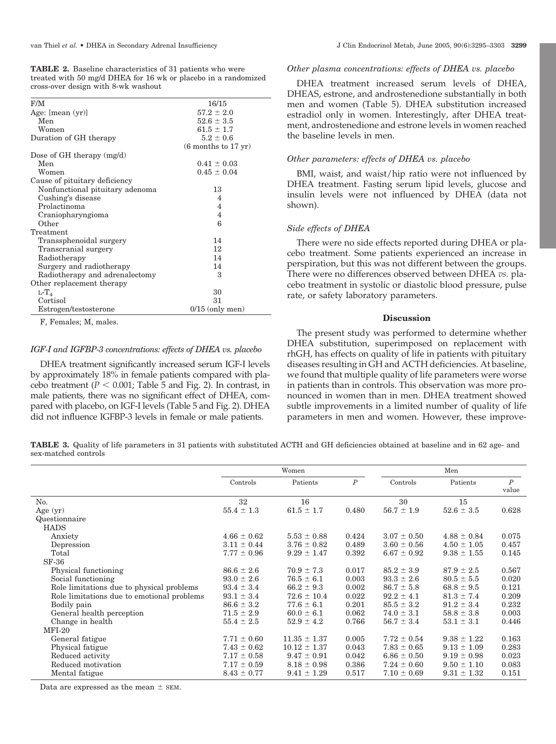| <b>TABLE 2.</b> Baseline characteristics of 31 patients who were |
|------------------------------------------------------------------|
| treated with 50 mg/d DHEA for 16 wk or placebo in a randomized   |
| cross-over design with 8-wk washout                              |

| F/M                             | 16/15                 |
|---------------------------------|-----------------------|
| Age: [mean (yr)]                | $57.2 \pm 2.0$        |
| Men                             | $52.6 \pm 3.5$        |
| Women                           | $61.5 \pm 1.7$        |
| Duration of GH therapy          | $5.2 \pm 0.6$         |
|                                 | $(6$ months to 17 yr) |
| Dose of GH therapy $(mg/d)$     |                       |
| Men                             | $0.41 \pm 0.03$       |
| Women                           | $0.45 \pm 0.04$       |
| Cause of pituitary deficiency   |                       |
| Nonfunctional pituitary adenoma | 13                    |
| Cushing's disease               | 4                     |
| Prolactinoma                    | $\overline{4}$        |
| Craniopharyngioma               | $\overline{4}$        |
| Other                           | 6                     |
| Treatment                       |                       |
| Transsphenoidal surgery         | 14                    |
| Transcranial surgery            | 12                    |
| Radiotherapy                    | 14                    |
| Surgery and radiotherapy        | 14                    |
| Radiotherapy and adrenalectomy  | 3                     |
| Other replacement therapy       |                       |
| $L-T_A$                         | 30                    |
| Cortisol                        | 31                    |
| Estrogen/testosterone           | $0/15$ (only men)     |
|                                 |                       |

F, Females; M, males.

# *IGF-I and IGFBP-3 concentrations: effects of DHEA vs. placebo*

DHEA treatment significantly increased serum IGF-I levels by approximately 18% in female patients compared with placebo treatment  $(P < 0.001$ ; Table 5 and Fig. 2). In contrast, in male patients, there was no significant effect of DHEA, compared with placebo, on IGF-I levels (Table 5 and Fig. 2). DHEA did not influence IGFBP-3 levels in female or male patients.

# *Other plasma concentrations: effects of DHEA vs. placebo*

DHEA treatment increased serum levels of DHEA, DHEAS, estrone, and androstenedione substantially in both men and women (Table 5). DHEA substitution increased estradiol only in women. Interestingly, after DHEA treatment, androstenedione and estrone levels in women reached the baseline levels in men.

# *Other parameters: effects of DHEA vs. placebo*

BMI, waist, and waist/hip ratio were not influenced by DHEA treatment. Fasting serum lipid levels, glucose and insulin levels were not influenced by DHEA (data not shown).

# *Side effects of DHEA*

There were no side effects reported during DHEA or placebo treatment. Some patients experienced an increase in perspiration, but this was not different between the groups. There were no differences observed between DHEA *vs.* placebo treatment in systolic or diastolic blood pressure, pulse rate, or safety laboratory parameters.

# **Discussion**

The present study was performed to determine whether DHEA substitution, superimposed on replacement with rhGH, has effects on quality of life in patients with pituitary diseases resulting in GH and ACTH deficiencies. At baseline, we found that multiple quality of life parameters were worse in patients than in controls. This observation was more pronounced in women than in men. DHEA treatment showed subtle improvements in a limited number of quality of life parameters in men and women. However, these improve-

**TABLE 3.** Quality of life parameters in 31 patients with substituted ACTH and GH deficiencies obtained at baseline and in 62 age- and sex-matched controls

|                                            | Women           |                  |       | Men             |                 |            |
|--------------------------------------------|-----------------|------------------|-------|-----------------|-----------------|------------|
|                                            | Controls        | Patients         | P     | Controls        | Patients        | P<br>value |
| No.                                        | 32              | 16               |       | 30              | 15              |            |
| Age $(yr)$                                 | $55.4 \pm 1.3$  | $61.5 \pm 1.7$   | 0.480 | $56.7 \pm 1.9$  | $52.6 \pm 3.5$  | 0.628      |
| Questionnaire                              |                 |                  |       |                 |                 |            |
| <b>HADS</b>                                |                 |                  |       |                 |                 |            |
| Anxiety                                    | $4.66 \pm 0.62$ | $5.53 \pm 0.88$  | 0.424 | $3.07 \pm 0.50$ | $4.88 \pm 0.84$ | 0.075      |
| Depression                                 | $3.11 \pm 0.44$ | $3.76 \pm 0.82$  | 0.489 | $3.60 \pm 0.56$ | $4.50 \pm 1.05$ | 0.457      |
| Total                                      | $7.77 \pm 0.96$ | $9.29 \pm 1.47$  | 0.392 | $6.67 \pm 0.92$ | $9.38 \pm 1.55$ | 0.145      |
| $SF-36$                                    |                 |                  |       |                 |                 |            |
| Physical functioning                       | $86.6 \pm 2.6$  | $70.9 \pm 7.3$   | 0.017 | $85.2 \pm 3.9$  | $87.9 \pm 2.5$  | 0.567      |
| Social functioning                         | $93.0 \pm 2.6$  | $76.5 \pm 6.1$   | 0.003 | $93.3 \pm 2.6$  | $80.5 \pm 5.5$  | 0.020      |
| Role limitations due to physical problems  | $93.4 \pm 3.4$  | $66.2 \pm 9.3$   | 0.002 | $86.7 \pm 5.8$  | $68.8 \pm 9.5$  | 0.121      |
| Role limitations due to emotional problems | $93.1 \pm 3.4$  | $72.6 \pm 10.4$  | 0.022 | $92.2 \pm 4.1$  | $81.3 \pm 7.4$  | 0.209      |
| Bodily pain                                | $86.6 \pm 3.2$  | $77.6 \pm 6.1$   | 0.201 | $85.5 \pm 3.2$  | $91.2 \pm 3.4$  | 0.232      |
| General health perception                  | $71.5 \pm 2.9$  | $60.0 \pm 6.1$   | 0.062 | $74.0 \pm 3.1$  | $58.8 \pm 3.8$  | 0.003      |
| Change in health                           | $55.4 \pm 2.5$  | $52.9 \pm 4.2$   | 0.766 | $56.7 \pm 3.4$  | $53.1 \pm 3.1$  | 0.446      |
| $MFI-20$                                   |                 |                  |       |                 |                 |            |
| General fatigue                            | $7.71 \pm 0.60$ | $11.35 \pm 1.37$ | 0.005 | $7.72 \pm 0.54$ | $9.38 \pm 1.22$ | 0.163      |
| Physical fatigue                           | $7.43 \pm 0.62$ | $10.12 \pm 1.37$ | 0.043 | $7.83 \pm 0.65$ | $9.13 \pm 1.09$ | 0.283      |
| Reduced activity                           | $7.17 \pm 0.58$ | $9.47 \pm 0.91$  | 0.042 | $6.86 \pm 0.50$ | $9.19 \pm 0.98$ | 0.023      |
| Reduced motivation                         | $7.17 \pm 0.59$ | $8.18 \pm 0.98$  | 0.386 | $7.24 \pm 0.60$ | $9.50 \pm 1.10$ | 0.083      |
| Mental fatigue                             | $8.43 \pm 0.77$ | $9.41 \pm 1.29$  | 0.517 | $7.10 \pm 0.69$ | $9.31 \pm 1.32$ | 0.151      |

Data are expressed as the mean  $\pm$  sEM.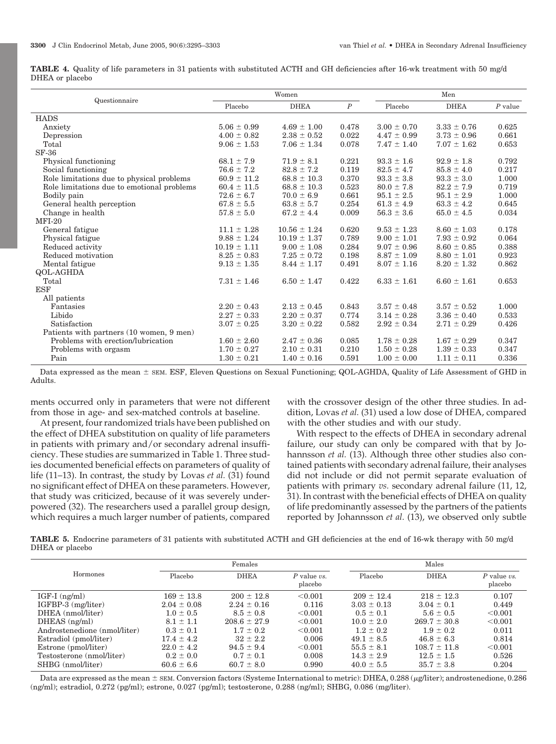|                                            |                  | Women            | Men              |                 |                 |           |
|--------------------------------------------|------------------|------------------|------------------|-----------------|-----------------|-----------|
| Questionnaire                              | Placebo          | <b>DHEA</b>      | $\boldsymbol{P}$ | Placebo         | <b>DHEA</b>     | $P$ value |
| <b>HADS</b>                                |                  |                  |                  |                 |                 |           |
| Anxiety                                    | $5.06 \pm 0.99$  | $4.69 \pm 1.00$  | 0.478            | $3.00 \pm 0.70$ | $3.33 \pm 0.76$ | 0.625     |
| Depression                                 | $4.00 \pm 0.82$  | $2.38 \pm 0.52$  | 0.022            | $4.47 \pm 0.99$ | $3.73 \pm 0.96$ | 0.661     |
| Total                                      | $9.06 \pm 1.53$  | $7.06 \pm 1.34$  | 0.078            | $7.47 \pm 1.40$ | $7.07 \pm 1.62$ | 0.653     |
| $SF-36$                                    |                  |                  |                  |                 |                 |           |
| Physical functioning                       | $68.1 \pm 7.9$   | $71.9 \pm 8.1$   | 0.221            | $93.3 \pm 1.6$  | $92.9 \pm 1.8$  | 0.792     |
| Social functioning                         | $76.6 \pm 7.2$   | $82.8 \pm 7.2$   | 0.119            | $82.5 \pm 4.7$  | $85.8 \pm 4.0$  | 0.217     |
| Role limitations due to physical problems  | $60.9 \pm 11.2$  | $68.8 \pm 10.3$  | 0.370            | $93.3 \pm 3.8$  | $93.3 \pm 3.0$  | 1.000     |
| Role limitations due to emotional problems | $60.4 \pm 11.5$  | $68.8 \pm 10.3$  | 0.523            | $80.0 \pm 7.8$  | $82.2 \pm 7.9$  | 0.719     |
| Bodily pain                                | $72.6 \pm 6.7$   | $70.0 \pm 6.9$   | 0.661            | $95.1 \pm 2.5$  | $95.1 \pm 2.9$  | 1.000     |
| General health perception                  | $67.8 \pm 5.5$   | $63.8 \pm 5.7$   | 0.254            | $61.3 \pm 4.9$  | $63.3 \pm 4.2$  | 0.645     |
| Change in health                           | $57.8 \pm 5.0$   | $67.2 \pm 4.4$   | 0.009            | $56.3 \pm 3.6$  | $65.0 \pm 4.5$  | 0.034     |
| $MFI-20$                                   |                  |                  |                  |                 |                 |           |
| General fatigue                            | $11.1 \pm 1.28$  | $10.56 \pm 1.24$ | 0.620            | $9.53 \pm 1.23$ | $8.60 \pm 1.03$ | 0.178     |
| Physical fatigue                           | $9.88 \pm 1.24$  | $10.19 \pm 1.37$ | 0.789            | $9.00 \pm 1.01$ | $7.93 \pm 0.92$ | 0.064     |
| Reduced activity                           | $10.19 \pm 1.11$ | $9.00 \pm 1.08$  | 0.284            | $9.07 \pm 0.96$ | $8.60 \pm 0.85$ | 0.388     |
| Reduced motivation                         | $8.25 \pm 0.83$  | $7.25 \pm 0.72$  | 0.198            | $8.87 \pm 1.09$ | $8.80 \pm 1.01$ | 0.923     |
| Mental fatigue                             | $9.13 \pm 1.35$  | $8.44 \pm 1.17$  | 0.491            | $8.07 \pm 1.16$ | $8.20 \pm 1.32$ | 0.862     |
| QOL-AGHDA                                  |                  |                  |                  |                 |                 |           |
| Total                                      | $7.31 \pm 1.46$  | $6.50 \pm 1.47$  | 0.422            | $6.33 \pm 1.61$ | $6.60 \pm 1.61$ | 0.653     |
| <b>ESF</b>                                 |                  |                  |                  |                 |                 |           |
| All patients                               |                  |                  |                  |                 |                 |           |
| Fantasies                                  | $2.20 \pm 0.43$  | $2.13 \pm 0.45$  | 0.843            | $3.57 \pm 0.48$ | $3.57 \pm 0.52$ | 1.000     |
| Libido                                     | $2.27 \pm 0.33$  | $2.20 \pm 0.37$  | 0.774            | $3.14 \pm 0.28$ | $3.36 \pm 0.40$ | 0.533     |
| Satisfaction                               | $3.07 \pm 0.25$  | $3.20 \pm 0.22$  | 0.582            | $2.92 \pm 0.34$ | $2.71 \pm 0.29$ | 0.426     |
| Patients with partners (10 women, 9 men)   |                  |                  |                  |                 |                 |           |
| Problems with erection/lubrication         | $1.60 \pm 2.60$  | $2.47 \pm 0.36$  | 0.085            | $1.78 \pm 0.28$ | $1.67 \pm 0.29$ | 0.347     |
| Problems with orgasm                       | $1.70 \pm 0.27$  | $2.10 \pm 0.31$  | 0.210            | $1.50 \pm 0.28$ | $1.39 \pm 0.33$ | 0.347     |
| Pain                                       | $1.30 \pm 0.21$  | $1.40 \pm 0.16$  | 0.591            | $1.00 \pm 0.00$ | $1.11 \pm 0.11$ | 0.336     |

**TABLE 4.** Quality of life parameters in 31 patients with substituted ACTH and GH deficiencies after 16-wk treatment with 50 mg/d DHEA or placebo

Data expressed as the mean ± SEM. ESF, Eleven Questions on Sexual Functioning; QOL-AGHDA, Quality of Life Assessment of GHD in Adults.

ments occurred only in parameters that were not different from those in age- and sex-matched controls at baseline.

At present, four randomized trials have been published on the effect of DHEA substitution on quality of life parameters in patients with primary and/or secondary adrenal insufficiency. These studies are summarized in Table 1. Three studies documented beneficial effects on parameters of quality of life (11–13). In contrast, the study by Lovas *et al.* (31) found no significant effect of DHEA on these parameters. However, that study was criticized, because of it was severely underpowered (32). The researchers used a parallel group design, which requires a much larger number of patients, compared with the crossover design of the other three studies. In addition, Lovas *et al.* (31) used a low dose of DHEA, compared with the other studies and with our study.

With respect to the effects of DHEA in secondary adrenal failure, our study can only be compared with that by Johannsson *et al.* (13). Although three other studies also contained patients with secondary adrenal failure, their analyses did not include or did not permit separate evaluation of patients with primary *vs.* secondary adrenal failure (11, 12, 31). In contrast with the beneficial effects of DHEA on quality of life predominantly assessed by the partners of the patients reported by Johannsson *et al.* (13), we observed only subtle

**TABLE 5.** Endocrine parameters of 31 patients with substituted ACTH and GH deficiencies at the end of 16-wk therapy with 50 mg/d DHEA or placebo

|                              | Females         |                  |                            | Males           |                  |                            |  |
|------------------------------|-----------------|------------------|----------------------------|-----------------|------------------|----------------------------|--|
| Hormones                     | Placebo         | <b>DHEA</b>      | $P$ value $vs.$<br>placebo | Placebo         | <b>DHEA</b>      | $P$ value $vs.$<br>placebo |  |
| $IGF-I$ (ng/ml)              | $169 \pm 13.8$  | $200 \pm 12.8$   | < 0.001                    | $209 \pm 12.4$  | $218 \pm 12.3$   | 0.107                      |  |
| $IGFBP-3$ (mg/liter)         | $2.04 \pm 0.08$ | $2.24 \pm 0.16$  | 0.116                      | $3.03 \pm 0.13$ | $3.04 \pm 0.1$   | 0.449                      |  |
| DHEA (nmol/liter)            | $1.0 \pm 0.5$   | $8.5 \pm 0.8$    | < 0.001                    | $0.5 \pm 0.1$   | $5.6 \pm 0.5$    | < 0.001                    |  |
| $DHEAS$ (ng/ml)              | $8.1 \pm 1.1$   | $208.6 \pm 27.9$ | < 0.001                    | $10.0 \pm 2.0$  | $269.7 \pm 30.8$ | < 0.001                    |  |
| Androstenedione (nmol/liter) | $0.3 \pm 0.1$   | $1.7 \pm 0.2$    | < 0.001                    | $1.2 \pm 0.2$   | $1.9 \pm 0.2$    | 0.011                      |  |
| Estradiol (pmol/liter)       | $17.4 \pm 4.2$  | $32 \pm 2.2$     | 0.006                      | $49.1 \pm 8.5$  | $46.8 \pm 6.3$   | 0.814                      |  |
| Estrone (pmol/liter)         | $22.0 \pm 4.2$  | $94.5 \pm 9.4$   | < 0.001                    | $55.5 \pm 8.1$  | $108.7 \pm 11.8$ | < 0.001                    |  |
| Testosterone (nmol/liter)    | $0.2 \pm 0.0$   | $0.7 \pm 0.1$    | 0.008                      | $14.3 \pm 2.9$  | $12.5 \pm 1.5$   | 0.526                      |  |
| SHBG (nmol/liter)            | $60.6 \pm 6.6$  | $60.7 \pm 8.0$   | 0.990                      | $40.0 \pm 5.5$  | $35.7 \pm 3.8$   | 0.204                      |  |

Data are expressed as the mean  $\pm$  SEM. Conversion factors (Systeme International to metric): DHEA, 0.288 (µg/liter); androstenedione, 0.286 (ng/ml); estradiol, 0.272 (pg/ml); estrone, 0.027 (pg/ml); testosterone, 0.288 (ng/ml); SHBG, 0.086 (mg/liter).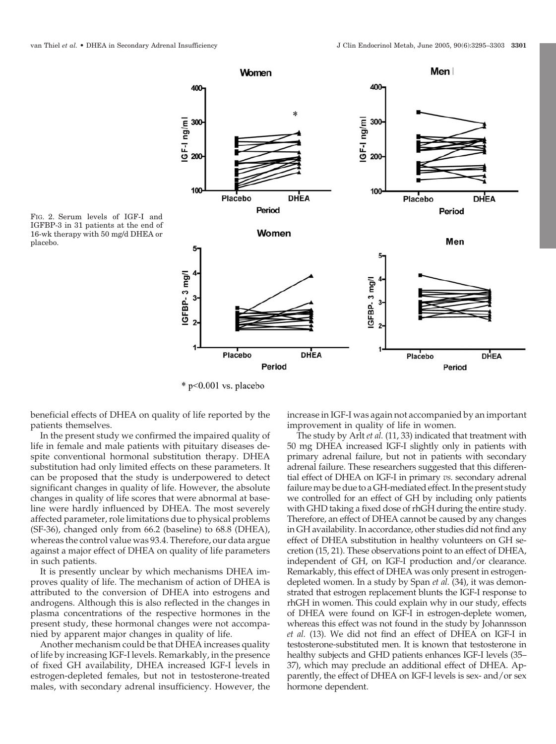Men |



FIG. 2. Serum levels of IGF-I and IGFBP-3 in 31 patients at the end of 16-wk therapy with 50 mg/d DHEA or placebo.

 $*$  p<0.001 vs. placebo

Women

beneficial effects of DHEA on quality of life reported by the patients themselves.

In the present study we confirmed the impaired quality of life in female and male patients with pituitary diseases despite conventional hormonal substitution therapy. DHEA substitution had only limited effects on these parameters. It can be proposed that the study is underpowered to detect significant changes in quality of life. However, the absolute changes in quality of life scores that were abnormal at baseline were hardly influenced by DHEA. The most severely affected parameter, role limitations due to physical problems (SF-36), changed only from 66.2 (baseline) to 68.8 (DHEA), whereas the control value was 93.4. Therefore, our data argue against a major effect of DHEA on quality of life parameters in such patients.

It is presently unclear by which mechanisms DHEA improves quality of life. The mechanism of action of DHEA is attributed to the conversion of DHEA into estrogens and androgens. Although this is also reflected in the changes in plasma concentrations of the respective hormones in the present study, these hormonal changes were not accompanied by apparent major changes in quality of life.

Another mechanism could be that DHEA increases quality of life by increasing IGF-I levels. Remarkably, in the presence of fixed GH availability, DHEA increased IGF-I levels in estrogen-depleted females, but not in testosterone-treated males, with secondary adrenal insufficiency. However, the increase in IGF-I was again not accompanied by an important improvement in quality of life in women.

The study by Arlt *et al.* (11, 33) indicated that treatment with 50 mg DHEA increased IGF-I slightly only in patients with primary adrenal failure, but not in patients with secondary adrenal failure. These researchers suggested that this differential effect of DHEA on IGF-I in primary *vs.* secondary adrenal failure may be due to a GH-mediated effect. In the present study we controlled for an effect of GH by including only patients with GHD taking a fixed dose of rhGH during the entire study. Therefore, an effect of DHEA cannot be caused by any changes in GH availability. In accordance, other studies did not find any effect of DHEA substitution in healthy volunteers on GH secretion (15, 21). These observations point to an effect of DHEA, independent of GH, on IGF-I production and/or clearance. Remarkably, this effect of DHEA was only present in estrogendepleted women. In a study by Span *et al.* (34), it was demonstrated that estrogen replacement blunts the IGF-I response to rhGH in women. This could explain why in our study, effects of DHEA were found on IGF-I in estrogen-deplete women, whereas this effect was not found in the study by Johannsson *et al.* (13). We did not find an effect of DHEA on IGF-I in testosterone-substituted men. It is known that testosterone in healthy subjects and GHD patients enhances IGF-I levels (35– 37), which may preclude an additional effect of DHEA. Apparently, the effect of DHEA on IGF-I levels is sex- and/or sex hormone dependent.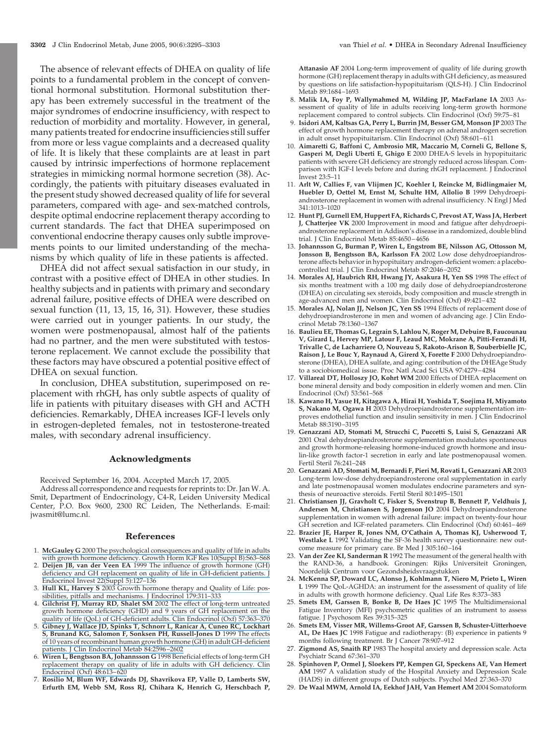The absence of relevant effects of DHEA on quality of life points to a fundamental problem in the concept of conventional hormonal substitution. Hormonal substitution therapy has been extremely successful in the treatment of the major syndromes of endocrine insufficiency, with respect to reduction of morbidity and mortality. However, in general, many patients treated for endocrine insufficiencies still suffer from more or less vague complaints and a decreased quality of life. It is likely that these complaints are at least in part caused by intrinsic imperfections of hormone replacement strategies in mimicking normal hormone secretion (38). Accordingly, the patients with pituitary diseases evaluated in the present study showed decreased quality of life for several parameters, compared with age- and sex-matched controls, despite optimal endocrine replacement therapy according to current standards. The fact that DHEA superimposed on conventional endocrine therapy causes only subtle improvements points to our limited understanding of the mechanisms by which quality of life in these patients is affected.

DHEA did not affect sexual satisfaction in our study, in contrast with a positive effect of DHEA in other studies. In healthy subjects and in patients with primary and secondary adrenal failure, positive effects of DHEA were described on sexual function (11, 13, 15, 16, 31). However, these studies were carried out in younger patients. In our study, the women were postmenopausal, almost half of the patients had no partner, and the men were substituted with testosterone replacement. We cannot exclude the possibility that these factors may have obscured a potential positive effect of DHEA on sexual function.

In conclusion, DHEA substitution, superimposed on replacement with rhGH, has only subtle aspects of quality of life in patients with pituitary diseases with GH and ACTH deficiencies. Remarkably, DHEA increases IGF-I levels only in estrogen-depleted females, not in testosterone-treated males, with secondary adrenal insufficiency.

#### **Acknowledgments**

Received September 16, 2004. Accepted March 17, 2005.

Address all correspondence and requests for reprints to: Dr. Jan W. A. Smit, Department of Endocrinology, C4-R, Leiden University Medical Center, P.O. Box 9600, 2300 RC Leiden, The Netherlands. E-mail: jwasmit@lumc.nl.

#### **References**

- 1. **McGauley G** [2000 The psychological consequences and quality of life in adults](https://www.researchgate.net/publication/12338550_The_psychological_consequences_and_quality_of_life_in_adults_with_growth_hormone_deficiency?el=1_x_8&enrichId=rgreq-a4c0e730a33e0a7d2deefe6a678e62e4-XXX&enrichSource=Y292ZXJQYWdlOzc5Mzc5OTY7QVM6OTg1NTE4NjIzOTg5ODRAMTQwMDUwODAwMzQ0OA==) [with growth hormone deficiency. Growth Horm IGF Res 10\(Suppl B\):S63–S68](https://www.researchgate.net/publication/12338550_The_psychological_consequences_and_quality_of_life_in_adults_with_growth_hormone_deficiency?el=1_x_8&enrichId=rgreq-a4c0e730a33e0a7d2deefe6a678e62e4-XXX&enrichSource=Y292ZXJQYWdlOzc5Mzc5OTY7QVM6OTg1NTE4NjIzOTg5ODRAMTQwMDUwODAwMzQ0OA==)
- 2. **Deijen JB, van der Veen EA** [1999 The influence of growth hormone \(GH\)](https://www.researchgate.net/publication/12856399_The_influence_of_growth_hormone_GH_deficiency_and_GH_replacement_on_quality_of_life_in_GH-deficient_patients?el=1_x_8&enrichId=rgreq-a4c0e730a33e0a7d2deefe6a678e62e4-XXX&enrichSource=Y292ZXJQYWdlOzc5Mzc5OTY7QVM6OTg1NTE4NjIzOTg5ODRAMTQwMDUwODAwMzQ0OA==) [deficiency and GH replacement on quality of life in GH-deficient patients. J](https://www.researchgate.net/publication/12856399_The_influence_of_growth_hormone_GH_deficiency_and_GH_replacement_on_quality_of_life_in_GH-deficient_patients?el=1_x_8&enrichId=rgreq-a4c0e730a33e0a7d2deefe6a678e62e4-XXX&enrichSource=Y292ZXJQYWdlOzc5Mzc5OTY7QVM6OTg1NTE4NjIzOTg5ODRAMTQwMDUwODAwMzQ0OA==) [Endocrinol Invest 22\(Suppl 5\):127–136](https://www.researchgate.net/publication/12856399_The_influence_of_growth_hormone_GH_deficiency_and_GH_replacement_on_quality_of_life_in_GH-deficient_patients?el=1_x_8&enrichId=rgreq-a4c0e730a33e0a7d2deefe6a678e62e4-XXX&enrichSource=Y292ZXJQYWdlOzc5Mzc5OTY7QVM6OTg1NTE4NjIzOTg5ODRAMTQwMDUwODAwMzQ0OA==)
- 3. **Hull KL, Harvey S** [2003 Growth hormone therapy and Quality of Life: pos-](https://www.researchgate.net/publication/8976118_Growth_hormone_therapy_and_Quality_of_Life_possibilities_pitfalls_and_mechanisms?el=1_x_8&enrichId=rgreq-a4c0e730a33e0a7d2deefe6a678e62e4-XXX&enrichSource=Y292ZXJQYWdlOzc5Mzc5OTY7QVM6OTg1NTE4NjIzOTg5ODRAMTQwMDUwODAwMzQ0OA==)
- [sibilities, pitfalls and mechanisms. J Endocrinol 179:311–333](https://www.researchgate.net/publication/8976118_Growth_hormone_therapy_and_Quality_of_Life_possibilities_pitfalls_and_mechanisms?el=1_x_8&enrichId=rgreq-a4c0e730a33e0a7d2deefe6a678e62e4-XXX&enrichSource=Y292ZXJQYWdlOzc5Mzc5OTY7QVM6OTg1NTE4NjIzOTg5ODRAMTQwMDUwODAwMzQ0OA==) 4. **Gilchrist FJ, Murray RD, Shalet SM** [2002 The effect of long-term untreated](https://www.researchgate.net/publication/11186393_The_effect_of_long-term_untreated_growth_hormone_deficiency_GHD_and_9_years_of_GH_replacement_on_the_quality_of_life_QoL_of_GH-deficient_adults?el=1_x_8&enrichId=rgreq-a4c0e730a33e0a7d2deefe6a678e62e4-XXX&enrichSource=Y292ZXJQYWdlOzc5Mzc5OTY7QVM6OTg1NTE4NjIzOTg5ODRAMTQwMDUwODAwMzQ0OA==) [growth hormone deficiency \(GHD\) and 9 years of GH replacement on the](https://www.researchgate.net/publication/11186393_The_effect_of_long-term_untreated_growth_hormone_deficiency_GHD_and_9_years_of_GH_replacement_on_the_quality_of_life_QoL_of_GH-deficient_adults?el=1_x_8&enrichId=rgreq-a4c0e730a33e0a7d2deefe6a678e62e4-XXX&enrichSource=Y292ZXJQYWdlOzc5Mzc5OTY7QVM6OTg1NTE4NjIzOTg5ODRAMTQwMDUwODAwMzQ0OA==) [quality of life \(QoL\) of GH-deficient adults. Clin Endocrinol \(Oxf\) 57:363–370](https://www.researchgate.net/publication/11186393_The_effect_of_long-term_untreated_growth_hormone_deficiency_GHD_and_9_years_of_GH_replacement_on_the_quality_of_life_QoL_of_GH-deficient_adults?el=1_x_8&enrichId=rgreq-a4c0e730a33e0a7d2deefe6a678e62e4-XXX&enrichSource=Y292ZXJQYWdlOzc5Mzc5OTY7QVM6OTg1NTE4NjIzOTg5ODRAMTQwMDUwODAwMzQ0OA==)
- 5. **[Gibney J, Wallace JD, Spinks T, Schnorr L, Ranicar A, Cuneo RC, Lockhart](https://www.researchgate.net/publication/12855463_The_Effects_of_10_Years_of_Recombinant_Human_Growth_Hormone_GH_in_Adult_GH-Deficient_Patients?el=1_x_8&enrichId=rgreq-a4c0e730a33e0a7d2deefe6a678e62e4-XXX&enrichSource=Y292ZXJQYWdlOzc5Mzc5OTY7QVM6OTg1NTE4NjIzOTg5ODRAMTQwMDUwODAwMzQ0OA==) [S, Brunand KG, Salomon F, Sonksen PH, Russell-Jones D](https://www.researchgate.net/publication/12855463_The_Effects_of_10_Years_of_Recombinant_Human_Growth_Hormone_GH_in_Adult_GH-Deficient_Patients?el=1_x_8&enrichId=rgreq-a4c0e730a33e0a7d2deefe6a678e62e4-XXX&enrichSource=Y292ZXJQYWdlOzc5Mzc5OTY7QVM6OTg1NTE4NjIzOTg5ODRAMTQwMDUwODAwMzQ0OA==)** 1999 The effects [of 10 years of recombinant human growth hormone \(GH\) in adult GH-deficient](https://www.researchgate.net/publication/12855463_The_Effects_of_10_Years_of_Recombinant_Human_Growth_Hormone_GH_in_Adult_GH-Deficient_Patients?el=1_x_8&enrichId=rgreq-a4c0e730a33e0a7d2deefe6a678e62e4-XXX&enrichSource=Y292ZXJQYWdlOzc5Mzc5OTY7QVM6OTg1NTE4NjIzOTg5ODRAMTQwMDUwODAwMzQ0OA==) [patients. J Clin Endocrinol Metab 84:2596 –2602](https://www.researchgate.net/publication/12855463_The_Effects_of_10_Years_of_Recombinant_Human_Growth_Hormone_GH_in_Adult_GH-Deficient_Patients?el=1_x_8&enrichId=rgreq-a4c0e730a33e0a7d2deefe6a678e62e4-XXX&enrichSource=Y292ZXJQYWdlOzc5Mzc5OTY7QVM6OTg1NTE4NjIzOTg5ODRAMTQwMDUwODAwMzQ0OA==)
- 6. **[Wiren L, Bengtsson BA, Johannsson G](https://www.researchgate.net/publication/13617808_Beneficial_effects_of_long_term_GH_replacement_therapy_on_quality_of_life_in_adults_with_GH_deficiency?el=1_x_8&enrichId=rgreq-a4c0e730a33e0a7d2deefe6a678e62e4-XXX&enrichSource=Y292ZXJQYWdlOzc5Mzc5OTY7QVM6OTg1NTE4NjIzOTg5ODRAMTQwMDUwODAwMzQ0OA==)** 1998 Beneficial effects of long-term GH [replacement therapy on quality of life in adults with GH deficiency. Clin](https://www.researchgate.net/publication/13617808_Beneficial_effects_of_long_term_GH_replacement_therapy_on_quality_of_life_in_adults_with_GH_deficiency?el=1_x_8&enrichId=rgreq-a4c0e730a33e0a7d2deefe6a678e62e4-XXX&enrichSource=Y292ZXJQYWdlOzc5Mzc5OTY7QVM6OTg1NTE4NjIzOTg5ODRAMTQwMDUwODAwMzQ0OA==) [Endocrinol \(Oxf\) 48:613– 620](https://www.researchgate.net/publication/13617808_Beneficial_effects_of_long_term_GH_replacement_therapy_on_quality_of_life_in_adults_with_GH_deficiency?el=1_x_8&enrichId=rgreq-a4c0e730a33e0a7d2deefe6a678e62e4-XXX&enrichSource=Y292ZXJQYWdlOzc5Mzc5OTY7QVM6OTg1NTE4NjIzOTg5ODRAMTQwMDUwODAwMzQ0OA==)
- 7. **Rosilio M, Blum WF, Edwards DJ, Shavrikova EP, Valle D, Lamberts SW, Erfurth EM, Webb SM, Ross RJ, Chihara K, Henrich G, Herschbach P,**

**Attanasio AF** 2004 Long-term improvement of quality of life during growth hormone (GH) replacement therapy in adults with GH deficiency, as measured by questions on life satisfaction-hypopituitarism (QLS-H). J Clin Endocrinol Metab 89:1684 –1693

- 8. **Malik IA, Foy P, Wallymahmed M, Wilding JP, MacFarlane IA** 2003 Assessment of quality of life in adults receiving long-term growth hormone replacement compared to control subjects. Clin Endocrinol (Oxf) 59:75– 81
- 9. **Isidori AM, Kaltsas GA, Perry L, Burrin JM, Besser GM, Monson JP** 2003 The effect of growth hormone replacement therapy on adrenal androgen secretion in adult onset hypopituitarism. Clin Endocrinol (Oxf) 58:601– 611
- 10. **Aimaretti G, Baffoni C, Ambrosio MR, Maccario M, Corneli G, Bellone S, Gasperi M, Degli Uberti E, Ghigo E** 2000 DHEA-S levels in hypopituitaric patients with severe GH deficiency are strongly reduced across lifespan. Comparison with IGF-I levels before and during rhGH replacement. J Endocrinol Invest 23:5–11
- 11. **Arlt W, Callies F, van Vlijmen JC, Koehler I, Reincke M, Bidlingmaier M, Huebler D, Oettel M, Ernst M, Schulte HM, Allolio B** 1999 Dehydroepiandrosterone replacement in women with adrenal insufficiency. N Engl J Med 341:1013–1020
- 12. **Hunt PJ, Gurnell EM, Huppert FA, Richards C, Prevost AT, Wass JA, Herbert J, Chatterjee VK** 2000 Improvement in mood and fatigue after dehydroepiandrosterone replacement in Addison's disease in a randomized, double blind trial. J Clin Endocrinol Metab 85:4650 – 4656
- 13. **Johannsson G, Burman P, Wiren L, Engstrom BE, Nilsson AG, Ottosson M, Jonsson B, Bengtsson BA, Karlsson FA** 2002 Low dose dehydroepiandrosterone affects behavior in hypopituitary androgen-deficient women: a placebocontrolled trial. J Clin Endocrinol Metab 87:2046 –2052
- 14. **Morales AJ, Haubrich RH, Hwang JY, Asakura H, Yen SS** 1998 The effect of six months treatment with a 100 mg daily dose of dehydroepiandrosterone (DHEA) on circulating sex steroids, body composition and muscle strength in age-advanced men and women. Clin Endocrinol (Oxf) 49:421– 432
- 15. **Morales AJ, Nolan JJ, Nelson JC, Yen SS** 1994 Effects of replacement dose of dehydroepiandrosterone in men and women of advancing age. J Clin Endocrinol Metab 78:1360 –1367
- 16. **Baulieu EE, Thomas G, Legrain S, Lahlou N, Roger M, Debuire B, Faucounau V, Girard L, Hervey MP, Latour F, Leaud MC, Mokrane A, Pitti-Ferrandi H, Trivalle C, de Lacharriere O, Nouveau S, Rakoto-Arison B, Souberbielle JC, Raison J, Le Bouc Y, Raynaud A, Girerd X, Forette F** 2000 Dehydroepiandrosterone (DHEA), DHEA sulfate, and aging: contribution of the DHEAge Study to a sociobiomedical issue. Proc Natl Acad Sci USA 97:4279 – 4284
- 17. **Villareal DT, Holloszy JO, Kohrt WM** 2000 Effects of DHEA replacement on bone mineral density and body composition in elderly women and men. Clin Endocrinol (Oxf) 53:561–568
- 18. **Kawano H, Yasue H, Kitagawa A, Hirai H, Yoshida T, Soejima H, Miyamoto S, Nakano M, Ogawa H** 2003 Dehydroepiandrosterone supplementation improves endothelial function and insulin sensitivity in men. J Clin Endocrinol Metab 88:3190 –3195
- 19. **Genazzani AD, Stomati M, Strucchi C, Puccetti S, Luisi S, Genazzani AR** 2001 Oral dehydroepiandrosterone supplementation modulates spontaneous and growth hormone-releasing hormone-induced growth hormone and insulin-like growth factor-1 secretion in early and late postmenopausal women. Fertil Steril 76:241–248
- 20. **Genazzani AD, Stomati M, Bernardi F, Pieri M, Rovati L, Genazzani AR** 2003 Long-term low-dose dehydroepiandrosterone oral supplementation in early and late postmenopausal women modulates endocrine parameters and synthesis of neuroactive steroids. Fertil Steril 80:1495–1501
- 21. **Christiansen JJ, Gravholt C, Fisker S, Svenstrup B, Bennett P, Veldhuis J, Andersen M, Christiansen S, Jorgenson JO** 2004 Dehydroepiandrosterone supplementation in women with adrenal failure: impact on twenty-four hour GH secretion and IGF-related parameters. Clin Endocrinol (Oxf) 60:461– 469
- 22. **Brazier JE, Harper R, Jones NM, O'Cathain A, Thomas KJ, Usherwood T, Westlake L** 1992 Validating the SF-36 health survey questionnaire: new outcome measure for primary care. Br Med J 305:160 –164
- 23. **Van der Zee KI, Sanderman R** 1992 The measument of the general health with the RAND-36, a handbook. Groningen: Rijks Universiteit Groningen, Noordelijk Centrum voor Gezondsheidsvraagstukken
- 24. **McKenna SP, Doward LC, Alonso J, Kohlmann T, Niero M, Prieto L, Wiren L** 1999 The QoL-AGHDA: an instrument for the assessment of quality of life in adults with growth hormone deficiency. Qual Life Res 8:373–383
- 25. **Smets EM, Garssen B, Bonke B, De Haes JC** 1995 The Multidimensional Fatigue Inventory (MFI) psychometric qualities of an instrument to assess fatigue. J Psychosom Res 39:315–325
- 26. **Smets EM, Visser MR, Willems-Groot AF, Garssen B, Schuster-Uitterhoeve AL, De Haes JC** 1998 Fatigue and radiotherapy: (B) experience in patients 9 months following treatment. Br J Cancer 78:907–912
- 27. **Zigmond AS, Snaith RP** 1983 The hospital anxiety and depression scale. Acta Psychiatr Scand 67:361–370
- 28. **Spinhoven P, Ormel J, Sloekers PP, Kempen GI, Speckens AE, Van Hemert AM** 1997 A validation study of the Hospital Anxiety and Depression Scale (HADS) in different groups of Dutch subjects. Psychol Med 27:363–370
- 29. **De Waal MWM, Arnold IA, Eekhof JAH, Van Hemert AM** 2004 Somatoform